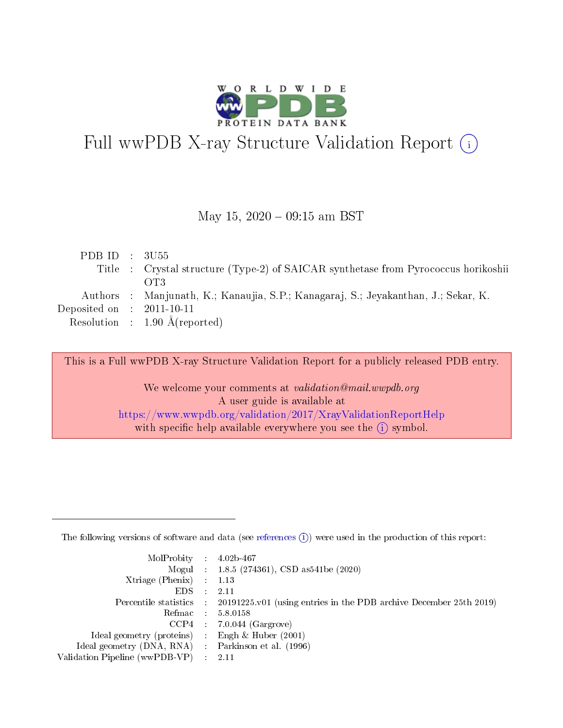

# Full wwPDB X-ray Structure Validation Report (i)

#### May 15,  $2020 - 09:15$  am BST

| PDB ID : $3U55$<br>Title : Crystal structure (Type-2) of SAICAR synthetase from Pyrococcus horikoshii |
|-------------------------------------------------------------------------------------------------------|
| OT3                                                                                                   |
| Authors : Manjunath, K.; Kanaujia, S.P.; Kanagaraj, S.; Jeyakanthan, J.; Sekar, K.                    |
| Deposited on : $2011-10-11$                                                                           |
| Resolution : $1.90 \text{ Å}$ (reported)                                                              |
|                                                                                                       |

This is a Full wwPDB X-ray Structure Validation Report for a publicly released PDB entry.

We welcome your comments at validation@mail.wwpdb.org A user guide is available at <https://www.wwpdb.org/validation/2017/XrayValidationReportHelp> with specific help available everywhere you see the  $(i)$  symbol.

The following versions of software and data (see [references](https://www.wwpdb.org/validation/2017/XrayValidationReportHelp#references)  $(1)$ ) were used in the production of this report:

| $MolProbability$ : 4.02b-467                      |                              |                                                                                            |
|---------------------------------------------------|------------------------------|--------------------------------------------------------------------------------------------|
|                                                   |                              | Mogul : $1.8.5$ (274361), CSD as 541be (2020)                                              |
| Xtriage (Phenix) $: 1.13$                         |                              |                                                                                            |
| EDS –                                             | $\sim$                       | -2.11                                                                                      |
|                                                   |                              | Percentile statistics : 20191225.v01 (using entries in the PDB archive December 25th 2019) |
| Refmac : 5.8.0158                                 |                              |                                                                                            |
| CCP4                                              |                              | $7.0.044$ (Gargrove)                                                                       |
| Ideal geometry (proteins)                         | $\mathcal{L}_{\mathrm{eff}}$ | Engh & Huber $(2001)$                                                                      |
| Ideal geometry (DNA, RNA) Parkinson et al. (1996) |                              |                                                                                            |
| Validation Pipeline (wwPDB-VP) : 2.11             |                              |                                                                                            |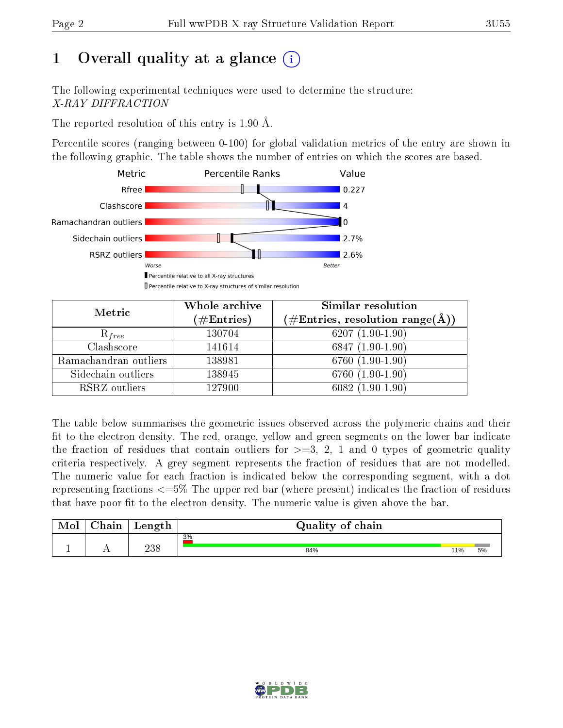## 1 [O](https://www.wwpdb.org/validation/2017/XrayValidationReportHelp#overall_quality)verall quality at a glance  $(i)$

The following experimental techniques were used to determine the structure: X-RAY DIFFRACTION

The reported resolution of this entry is 1.90 Å.

Percentile scores (ranging between 0-100) for global validation metrics of the entry are shown in the following graphic. The table shows the number of entries on which the scores are based.



| Metric                | Whole archive<br>$(\#\text{Entries})$ | Similar resolution<br>$(\#\text{Entries},\,\text{resolution}\,\,\text{range}(\textup{\AA}))$ |  |  |
|-----------------------|---------------------------------------|----------------------------------------------------------------------------------------------|--|--|
| $R_{free}$            | 130704                                | $6207(1.90-1.90)$                                                                            |  |  |
| Clashscore            | 141614                                | $6847(1.90-1.90)$                                                                            |  |  |
| Ramachandran outliers | 138981                                | $6760(1.90-1.90)$                                                                            |  |  |
| Sidechain outliers    | 138945                                | 6760 $(1.90-1.90)$                                                                           |  |  |
| RSRZ outliers         | 127900                                | $6082(1.90-1.90)$                                                                            |  |  |

The table below summarises the geometric issues observed across the polymeric chains and their fit to the electron density. The red, orange, yellow and green segments on the lower bar indicate the fraction of residues that contain outliers for  $>=3, 2, 1$  and 0 types of geometric quality criteria respectively. A grey segment represents the fraction of residues that are not modelled. The numeric value for each fraction is indicated below the corresponding segment, with a dot representing fractions  $\epsilon=5\%$  The upper red bar (where present) indicates the fraction of residues that have poor fit to the electron density. The numeric value is given above the bar.

| Mol | $\sim$ $\sim$<br>hain | Length      | Quality of chain |     |    |
|-----|-----------------------|-------------|------------------|-----|----|
|     |                       |             | 3%               |     |    |
| л.  | . .                   | าว ฉ<br>∠oc | 84%              | 11% | 5% |

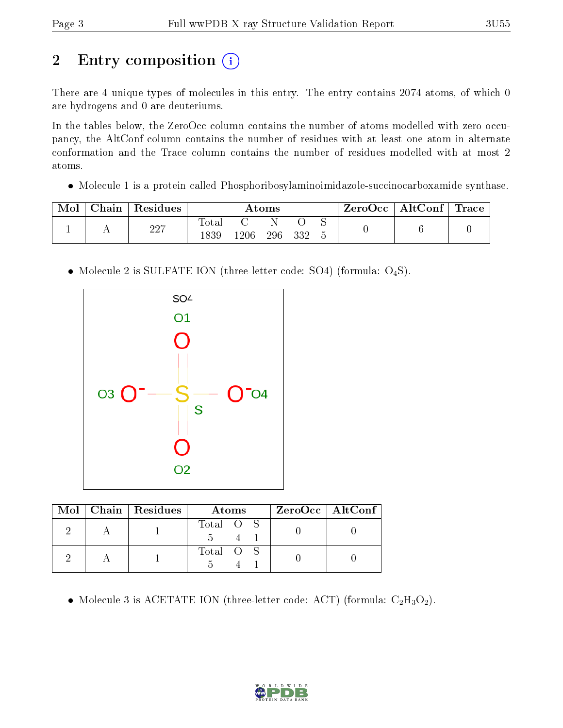# 2 Entry composition (i)

There are 4 unique types of molecules in this entry. The entry contains 2074 atoms, of which 0 are hydrogens and 0 are deuteriums.

In the tables below, the ZeroOcc column contains the number of atoms modelled with zero occupancy, the AltConf column contains the number of residues with at least one atom in alternate conformation and the Trace column contains the number of residues modelled with at most 2 atoms.

Molecule 1 is a protein called Phosphoribosylaminoimidazole-succinocarboxamide synthase.

| ${\rm Chain}$ | Residues | Atoms         |      |     |     | ZeroOcc∣ | $\mid$ AltConf $\mid$ Trace |  |  |
|---------------|----------|---------------|------|-----|-----|----------|-----------------------------|--|--|
|               | 227      | Total<br>1839 | .206 | 296 | 332 |          |                             |  |  |

• Molecule 2 is SULFATE ION (three-letter code: SO4) (formula: O<sub>4</sub>S).



|  | $Mol$   Chain   Residues | Atoms     | $ZeroOcc$   AltConf |
|--|--------------------------|-----------|---------------------|
|  |                          | Total O S |                     |
|  |                          | Total O S |                     |

• Molecule 3 is ACETATE ION (three-letter code: ACT) (formula:  $C_2H_3O_2$ ).

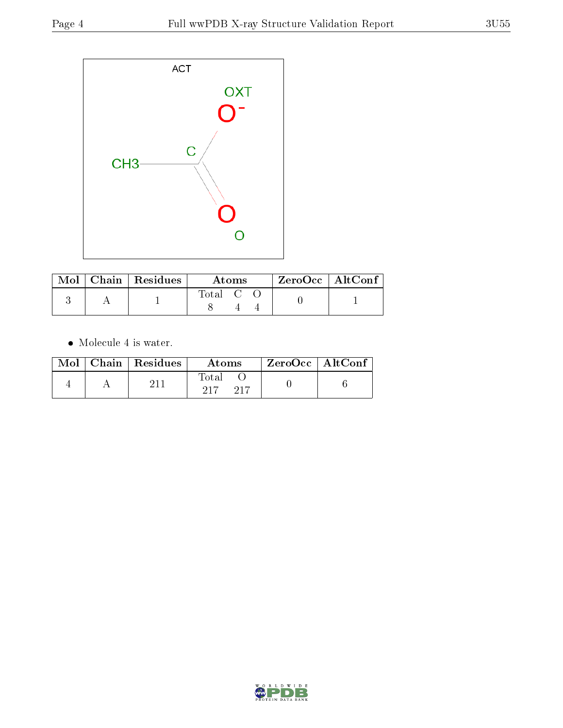

|  | $\text{Mol}$   Chain   Residues | Atoms                                                    |  |  | $ZeroOcc \   \ AltConf$ |  |
|--|---------------------------------|----------------------------------------------------------|--|--|-------------------------|--|
|  |                                 | $\begin{array}{ccc} \text{Total} & \text{C} \end{array}$ |  |  |                         |  |

 $\bullet\,$  Molecule 4 is water.

|  | $Mol$   Chain   Residues | Atoms        | $ZeroOcc \mid AltConf$ |  |
|--|--------------------------|--------------|------------------------|--|
|  |                          | Total<br>ດ17 |                        |  |

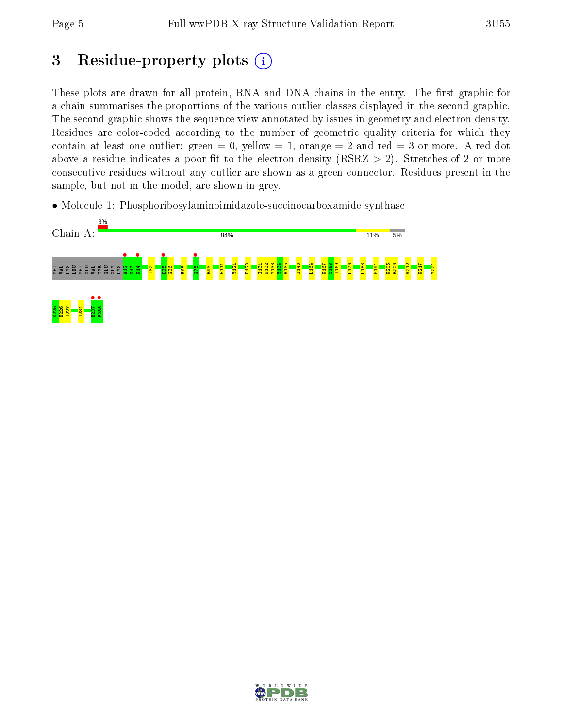## 3 Residue-property plots  $(i)$

These plots are drawn for all protein, RNA and DNA chains in the entry. The first graphic for a chain summarises the proportions of the various outlier classes displayed in the second graphic. The second graphic shows the sequence view annotated by issues in geometry and electron density. Residues are color-coded according to the number of geometric quality criteria for which they contain at least one outlier: green  $= 0$ , yellow  $= 1$ , orange  $= 2$  and red  $= 3$  or more. A red dot above a residue indicates a poor fit to the electron density (RSRZ  $> 2$ ). Stretches of 2 or more consecutive residues without any outlier are shown as a green connector. Residues present in the sample, but not in the model, are shown in grey.

• Molecule 1: Phosphoribosylaminoimidazole-succinocarboxamide synthase



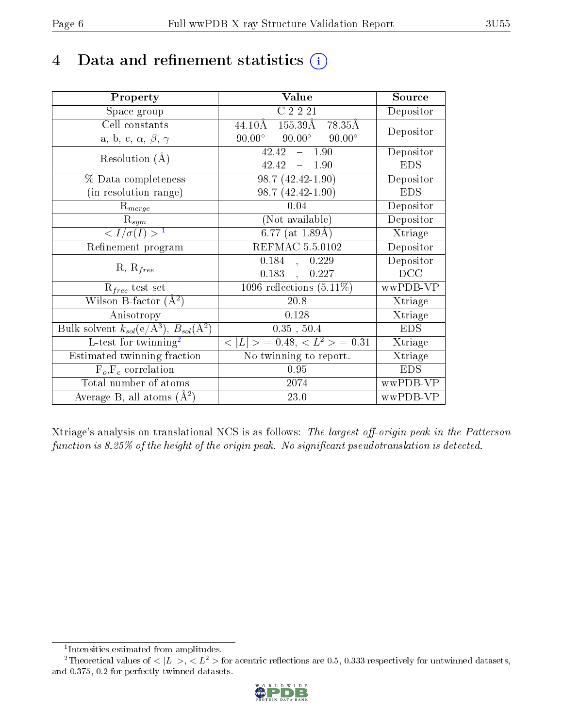## 4 Data and refinement statistics  $(i)$

| Property                                                             | Value                                                 | Source     |
|----------------------------------------------------------------------|-------------------------------------------------------|------------|
| Space group                                                          | C2221                                                 | Depositor  |
| Cell constants                                                       | $155.\overline{39\mathrm{A}}$<br>44.10Å<br>78.35Å     | Depositor  |
| a, b, c, $\alpha$ , $\beta$ , $\gamma$                               | $90.00^{\circ}$<br>$90.00^{\circ}$<br>$90.00^{\circ}$ |            |
| Resolution $(A)$                                                     | 42.42<br>$-1.90$                                      | Depositor  |
|                                                                      | 42.42<br>$-1.90$                                      | <b>EDS</b> |
| % Data completeness                                                  | $98.7(42.42 - 1.90)$                                  | Depositor  |
| (in resolution range)                                                | 98.7 (42.42-1.90)                                     | <b>EDS</b> |
| $R_{merge}$                                                          | 0.04                                                  | Depositor  |
| $\mathrm{R}_{sym}$                                                   | (Not available)                                       | Depositor  |
| $\langle I/\sigma(I) \rangle^{-1}$                                   | $6.77$ (at 1.89Å)                                     | Xtriage    |
| Refinement program                                                   | REFMAC 5.5.0102                                       | Depositor  |
|                                                                      | 0.184,<br>0.229                                       | Depositor  |
| $R, R_{free}$                                                        | 0.183,<br>0.227                                       | DCC        |
| $R_{free}$ test set                                                  | $\overline{1096}$ reflections $(5.11\%)$              | wwPDB-VP   |
| Wilson B-factor $(A^2)$                                              | 20.8                                                  | Xtriage    |
| Anisotropy                                                           | 0.128                                                 | Xtriage    |
| Bulk solvent $k_{sol}(e/\mathring{A}^3)$ , $B_{sol}(\mathring{A}^2)$ | 0.35, 50.4                                            | <b>EDS</b> |
| $L$ -test for twinning <sup>2</sup>                                  | $< L >$ = 0.48, $< L2$ = 0.31                         | Xtriage    |
| Estimated twinning fraction                                          | No twinning to report.                                | Xtriage    |
| $F_o, F_c$ correlation                                               | 0.95                                                  | <b>EDS</b> |
| Total number of atoms                                                | 2074                                                  | wwPDB-VP   |
| Average B, all atoms $(A^2)$                                         | 23.0                                                  | wwPDB-VP   |

Xtriage's analysis on translational NCS is as follows: The largest off-origin peak in the Patterson function is  $8.25\%$  of the height of the origin peak. No significant pseudotranslation is detected.

<sup>&</sup>lt;sup>2</sup>Theoretical values of  $\langle |L| \rangle$ ,  $\langle L^2 \rangle$  for acentric reflections are 0.5, 0.333 respectively for untwinned datasets, and 0.375, 0.2 for perfectly twinned datasets.



<span id="page-5-1"></span><span id="page-5-0"></span><sup>1</sup> Intensities estimated from amplitudes.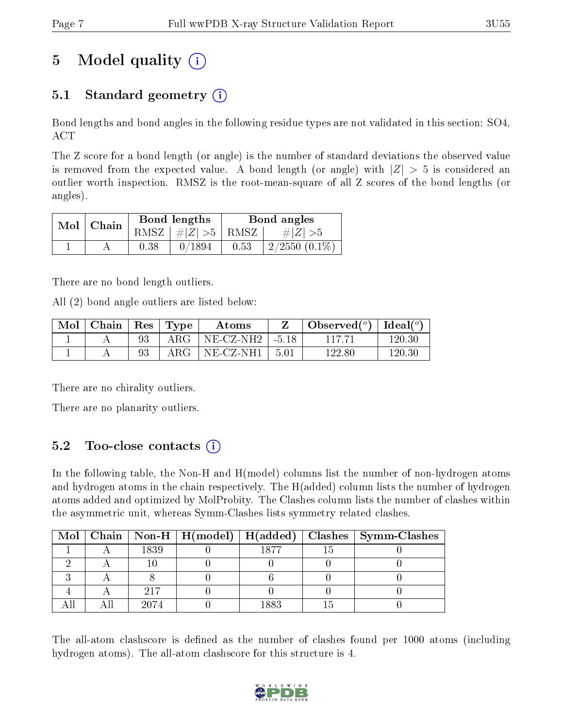## 5 Model quality  $(i)$

### 5.1 Standard geometry  $(i)$

Bond lengths and bond angles in the following residue types are not validated in this section: SO4, ACT

The Z score for a bond length (or angle) is the number of standard deviations the observed value is removed from the expected value. A bond length (or angle) with  $|Z| > 5$  is considered an outlier worth inspection. RMSZ is the root-mean-square of all Z scores of the bond lengths (or angles).

| $Mol$   Chain |      | Bond lengths                   | Bond angles |                 |  |
|---------------|------|--------------------------------|-------------|-----------------|--|
|               |      | RMSZ $\mid \#Z \mid >5$   RMSZ |             | $\# Z  > 5$     |  |
|               | 0.38 | 0/1894                         | 0.53        | $2/2550(0.1\%)$ |  |

There are no bond length outliers.

All (2) bond angle outliers are listed below:

| Mol | $\mid$ Chain $\mid$ Res $\mid$ Type |            | Atoms                    |             | Observed $(°)$ | Ideal $(^\circ)$ |
|-----|-------------------------------------|------------|--------------------------|-------------|----------------|------------------|
|     |                                     | $\rm{ARG}$ | $NE-{\rm CZ\text{-}NH2}$ | $-1 - 5.18$ |                | 120.30           |
|     |                                     | $\rm{ARG}$ | $NE- CZ-NH1$             | 5.01        | 122.80         | 120.30           |

There are no chirality outliers.

There are no planarity outliers.

### 5.2 Too-close contacts  $(i)$

In the following table, the Non-H and H(model) columns list the number of non-hydrogen atoms and hydrogen atoms in the chain respectively. The H(added) column lists the number of hydrogen atoms added and optimized by MolProbity. The Clashes column lists the number of clashes within the asymmetric unit, whereas Symm-Clashes lists symmetry related clashes.

|  |      |         | Mol   Chain   Non-H   H(model)   H(added)   Clashes   Symm-Clashes |
|--|------|---------|--------------------------------------------------------------------|
|  | 1839 | 1877    |                                                                    |
|  |      |         |                                                                    |
|  |      |         |                                                                    |
|  | 217  |         |                                                                    |
|  |      | 1 Q Q Q |                                                                    |

The all-atom clashscore is defined as the number of clashes found per 1000 atoms (including hydrogen atoms). The all-atom clashscore for this structure is 4.

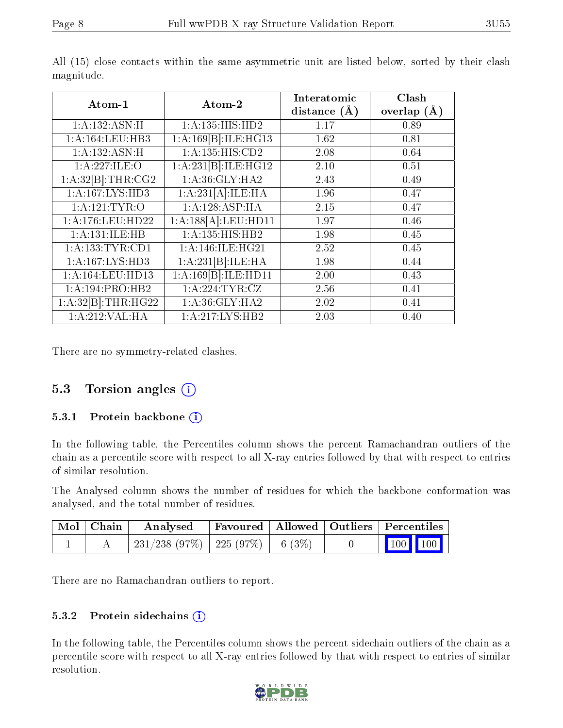| Atom-1              | Atom-2                       | Interatomic<br>distance $(\AA)$ | Clash<br>overlap $(A)$ |
|---------------------|------------------------------|---------------------------------|------------------------|
| 1:A:132:ASN:H       | 1: A: 135: HIS: HD2          | 1.17                            | 0.89                   |
| 1:A:164:LEU:HB3     | 1:A:169[B]:ILE:HG13          | 1.62                            | 0.81                   |
| 1: A: 132: ASN: H   | $1:\overline{A:135:HIS:CD2}$ | 2.08                            | 0.64                   |
| 1:A:227:ILE:O       | 1:A:231[B]:ILE:HG12          | 2.10                            | 0.51                   |
| 1:A:32[B]:THR:CG2   | 1: A:36: GLY: HA2            | 2.43                            | 0.49                   |
| 1:A:167:LYS:HD3     | 1:A:231[A]:ILE:HA            | 1.96                            | 0.47                   |
| 1: A:121:TYR:O      | 1:A:128:ASP:HA               | 2.15                            | 0.47                   |
| 1: A:176: LEU: HD22 | 1:A:188[A]:LEU:HDI1          | 1.97                            | 0.46                   |
| 1:A:131:ILE:HB      | 1:A:135:HIS:HB2              | 1.98                            | 0.45                   |
| 1: A: 133: TYR: CD1 | 1:A:146:ILE:HG21             | 2.52                            | 0.45                   |
| 1:A:167:LYS:HD3     | 1:A:231[B]:ILE:HA            | 1.98                            | 0.44                   |
| 1:A:164:LEU:HD13    | 1:A:169[B]:ILE:HD11          | 2.00                            | 0.43                   |
| 1:A:194:PRO:HB2     | 1: A:224:TYR:CZ              | 2.56                            | 0.41                   |
| 1:A:32[B]:THR:HG22  | 1: A:36: GLY: HA2            | 2.02                            | 0.41                   |
| 1:A:212:VAL:HA      | 1: A:217: LYS: HB2           | 2.03                            | 0.40                   |

All (15) close contacts within the same asymmetric unit are listed below, sorted by their clash magnitude.

There are no symmetry-related clashes.

#### 5.3 Torsion angles  $(i)$

#### 5.3.1 Protein backbone  $(i)$

In the following table, the Percentiles column shows the percent Ramachandran outliers of the chain as a percentile score with respect to all X-ray entries followed by that with respect to entries of similar resolution.

The Analysed column shows the number of residues for which the backbone conformation was analysed, and the total number of residues.

| Mol   Chain | Analysed                                                                                             |  | Favoured   Allowed   Outliers   Percentiles |  |  |
|-------------|------------------------------------------------------------------------------------------------------|--|---------------------------------------------|--|--|
|             | $\begin{array}{ c c c c c c c c c } \hline 231/238 & 97\% & 225 & 97\% & 6 & 3\% \hline \end{array}$ |  | $\vert$ 100 100 $\vert$                     |  |  |

There are no Ramachandran outliers to report.

#### 5.3.2 Protein sidechains (i)

In the following table, the Percentiles column shows the percent sidechain outliers of the chain as a percentile score with respect to all X-ray entries followed by that with respect to entries of similar resolution.

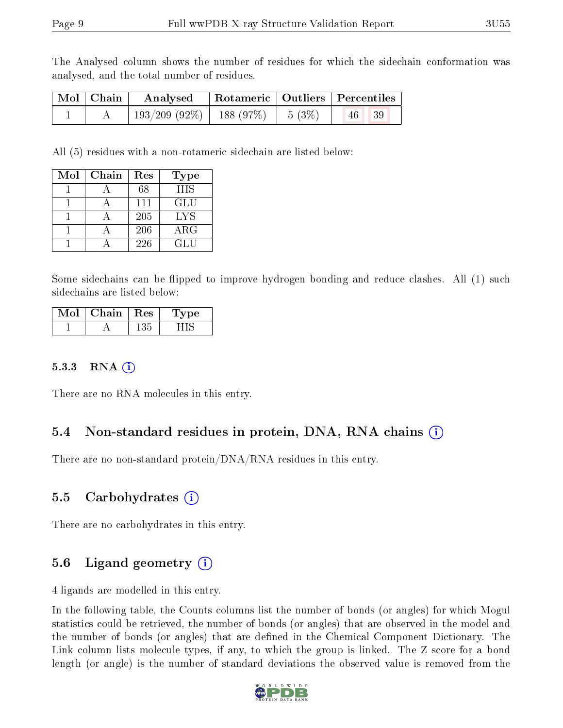The Analysed column shows the number of residues for which the sidechain conformation was analysed, and the total number of residues.

| Mol   Chain | Analysed                      |                   | <b>Rotameric Qutiliers Percentiles</b> |  |  |
|-------------|-------------------------------|-------------------|----------------------------------------|--|--|
|             | $193/209$ (92\%)   188 (97\%) | $1\quad 5\ (3\%)$ | 39<br> 46                              |  |  |

All (5) residues with a non-rotameric sidechain are listed below:

| Mol | Chain | Res | <b>Type</b> |
|-----|-------|-----|-------------|
|     |       | 68  | HIS         |
|     |       | 111 | GLU         |
|     |       | 205 | LYS         |
|     |       | 206 | $\rm{ARG}$  |
|     |       | 226 | GLU         |

Some sidechains can be flipped to improve hydrogen bonding and reduce clashes. All (1) such sidechains are listed below:

| Mol | Chain | $\mathbf{Res}$ | Type |
|-----|-------|----------------|------|
|     |       | 135            |      |

#### 5.3.3 RNA  $(i)$

There are no RNA molecules in this entry.

#### 5.4 Non-standard residues in protein, DNA, RNA chains (i)

There are no non-standard protein/DNA/RNA residues in this entry.

#### 5.5 Carbohydrates (i)

There are no carbohydrates in this entry.

### 5.6 Ligand geometry  $(i)$

4 ligands are modelled in this entry.

In the following table, the Counts columns list the number of bonds (or angles) for which Mogul statistics could be retrieved, the number of bonds (or angles) that are observed in the model and the number of bonds (or angles) that are defined in the Chemical Component Dictionary. The Link column lists molecule types, if any, to which the group is linked. The Z score for a bond length (or angle) is the number of standard deviations the observed value is removed from the

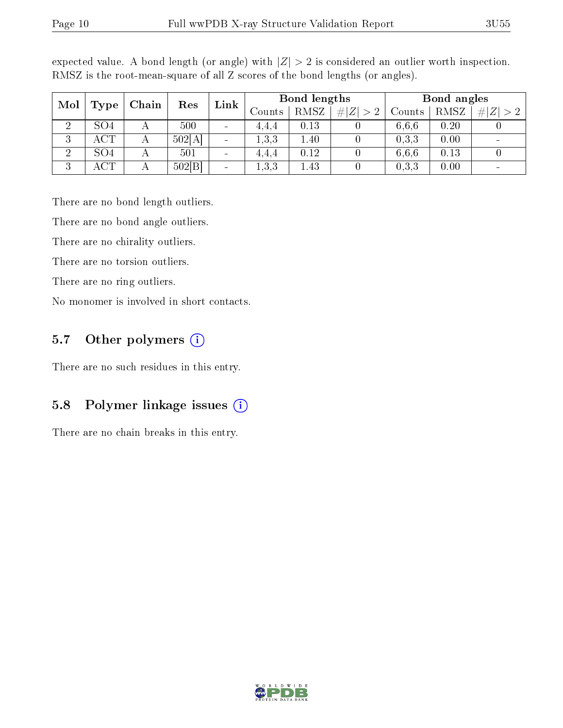| Mol<br>Type    | Chain           | Res | Link   | Bond lengths                 |       |        | Bond angles |           |        |      |                |
|----------------|-----------------|-----|--------|------------------------------|-------|--------|-------------|-----------|--------|------|----------------|
|                |                 |     |        |                              |       | Counts | RMSZ        | $\# Z >2$ | Counts | RMSZ | $+ Z $<br>$>2$ |
| ച              | SO4             |     | 500    | $\qquad \qquad \blacksquare$ | 4,4,4 | 0.13   |             | 6.6.6     | 0.20   |      |                |
| 3              | ACT             |     | 502[A] | $\qquad \qquad$              | 1,3,3 | 1.40   |             | 0,3,3     | 0.00   |      |                |
| $\overline{2}$ | SO <sub>4</sub> |     | 501    | $\qquad \qquad$              | 4.4.4 | 0.12   | 0           | 6.6.6     | 0.13   |      |                |
| 3              | ACT             |     | 502 B  | $\overline{\phantom{a}}$     | 1,3,3 | . 43   |             | 0,3,3     | 0.00   |      |                |

expected value. A bond length (or angle) with  $|Z| > 2$  is considered an outlier worth inspection. RMSZ is the root-mean-square of all Z scores of the bond lengths (or angles).

There are no bond length outliers.

There are no bond angle outliers.

There are no chirality outliers.

There are no torsion outliers.

There are no ring outliers.

No monomer is involved in short contacts.

#### 5.7 [O](https://www.wwpdb.org/validation/2017/XrayValidationReportHelp#nonstandard_residues_and_ligands)ther polymers  $(i)$

There are no such residues in this entry.

#### 5.8 Polymer linkage issues  $(i)$

There are no chain breaks in this entry.

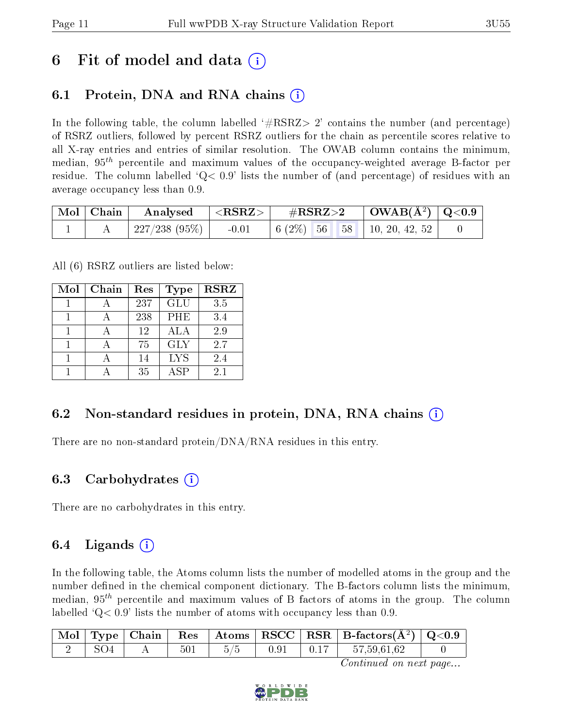## 6 Fit of model and data  $\left( \cdot \right)$

### 6.1 Protein, DNA and RNA chains (i)

In the following table, the column labelled  $#RSRZ>2'$  contains the number (and percentage) of RSRZ outliers, followed by percent RSRZ outliers for the chain as percentile scores relative to all X-ray entries and entries of similar resolution. The OWAB column contains the minimum, median,  $95<sup>th</sup>$  percentile and maximum values of the occupancy-weighted average B-factor per residue. The column labelled  $Q < 0.9$  lists the number of (and percentage) of residues with an average occupancy less than 0.9.

|  | $\mid$ Mol $\mid$ Chain $\mid$ Analysed $\mid$ <rsrz> <math>\mid</math></rsrz> |                                              |  |
|--|--------------------------------------------------------------------------------|----------------------------------------------|--|
|  | 227/238 (95%)                                                                  | $-0.01$   6 (2\%)   56   58   10, 20, 42, 52 |  |

All (6) RSRZ outliers are listed below:

| Mol | Chain | Res | <b>Type</b> | <b>RSRZ</b> |
|-----|-------|-----|-------------|-------------|
|     |       | 237 | GLU         | 3.5         |
|     |       | 238 | <b>PHE</b>  | 3.4         |
|     |       | 12  | ALA         | 2.9         |
|     |       | 75  | <b>GLY</b>  | 2.7         |
|     |       | 14  | <b>LYS</b>  | 2.4         |
|     |       | 35  | A SP        | 2.1         |

#### 6.2 Non-standard residues in protein, DNA, RNA chains (i)

There are no non-standard protein/DNA/RNA residues in this entry.

#### 6.3 Carbohydrates (i)

There are no carbohydrates in this entry.

#### 6.4 Ligands  $(i)$

In the following table, the Atoms column lists the number of modelled atoms in the group and the number defined in the chemical component dictionary. The B-factors column lists the minimum, median,  $95<sup>th</sup>$  percentile and maximum values of B factors of atoms in the group. The column labelled  $Q< 0.9$  lists the number of atoms with occupancy less than 0.9.

|     |      |               |  | $\boxed{\text{ Mol}}$ Type   Chain   Res   Atoms   RSCC   RSR   B-factors $(\AA^2)$   Q<0.9 |  |
|-----|------|---------------|--|---------------------------------------------------------------------------------------------|--|
| SO4 | $AA$ | $501$   $5/5$ |  | $\begin{array}{ c c c c c c c c } \hline 0.91 & 0.17 & 57,59,61,62 \ \hline \end{array}$    |  |

Continued on next page...